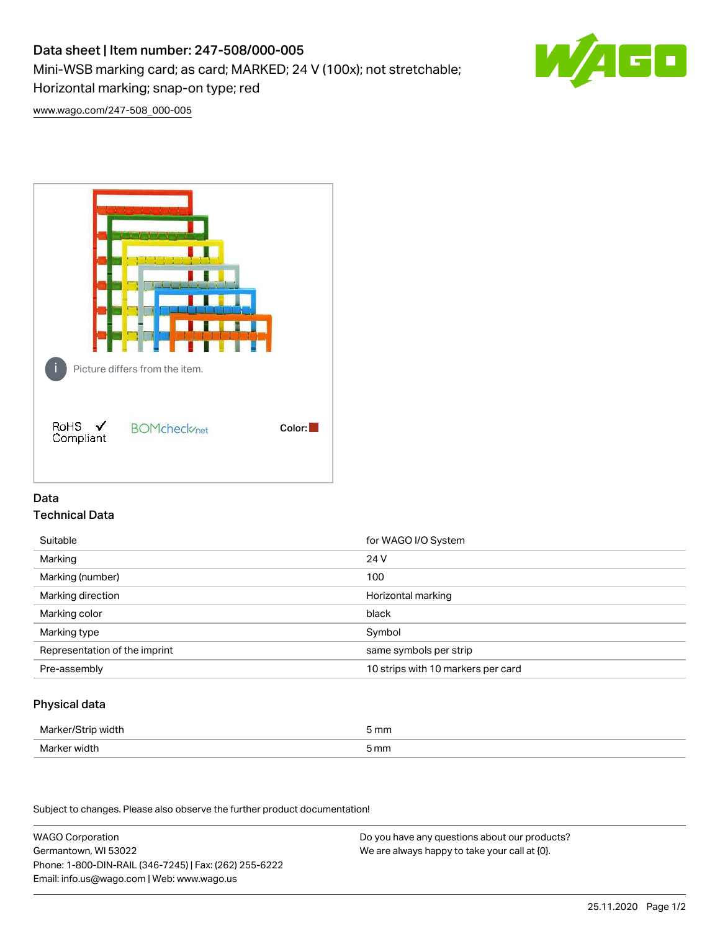# Data sheet | Item number: 247-508/000-005

Mini-WSB marking card; as card; MARKED; 24 V (100x); not stretchable;

Horizontal marking; snap-on type; red

s٨

[www.wago.com/247-508\\_000-005](http://www.wago.com/247-508_000-005)



## Data Technical Data

| Suitable                      | for WAGO I/O System                |
|-------------------------------|------------------------------------|
| Marking                       | 24 V                               |
| Marking (number)              | 100                                |
| Marking direction             | Horizontal marking                 |
| Marking color                 | black                              |
| Marking type                  | Symbol                             |
| Representation of the imprint | same symbols per strip             |
| Pre-assembly                  | 10 strips with 10 markers per card |

## Physical data

| Marker/Strip width | 5 mm |
|--------------------|------|
| Marker width       | 5 mm |

Subject to changes. Please also observe the further product documentation!

WAGO Corporation Germantown, WI 53022 Phone: 1-800-DIN-RAIL (346-7245) | Fax: (262) 255-6222 Email: info.us@wago.com | Web: www.wago.us Do you have any questions about our products? We are always happy to take your call at {0}.